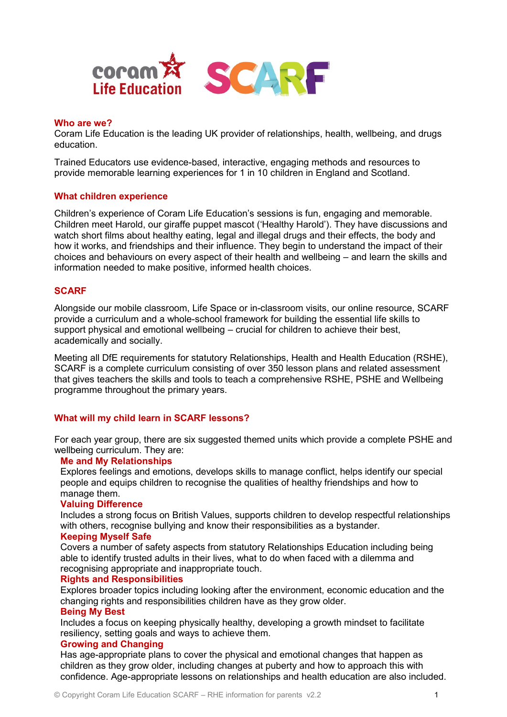

### **Who are we?**

Coram Life Education is the leading UK provider of relationships, health, wellbeing, and drugs education.

Trained Educators use evidence-based, interactive, engaging methods and resources to provide memorable learning experiences for 1 in 10 children in England and Scotland.

## **What children experience**

Children's experience of Coram Life Education's sessions is fun, engaging and memorable. Children meet Harold, our giraffe puppet mascot ('Healthy Harold'). They have discussions and watch short films about healthy eating, legal and illegal drugs and their effects, the body and how it works, and friendships and their influence. They begin to understand the impact of their choices and behaviours on every aspect of their health and wellbeing – and learn the skills and information needed to make positive, informed health choices.

## **SCARF**

Alongside our mobile classroom, Life Space or in-classroom visits, our online resource, SCARF provide a curriculum and a whole-school framework for building the essential life skills to support physical and emotional wellbeing – crucial for children to achieve their best, academically and socially.

Meeting all DfE requirements for statutory Relationships, Health and Health Education (RSHE), SCARF is a complete curriculum consisting of over 350 lesson plans and related assessment that gives teachers the skills and tools to teach a comprehensive RSHE, PSHE and Wellbeing programme throughout the primary years.

## **What will my child learn in SCARF lessons?**

For each year group, there are six suggested themed units which provide a complete PSHE and wellbeing curriculum. They are:

## **Me and My Relationships**

Explores feelings and emotions, develops skills to manage conflict, helps identify our special people and equips children to recognise the qualities of healthy friendships and how to manage them.

#### **Valuing Difference**

Includes a strong focus on British Values, supports children to develop respectful relationships with others, recognise bullying and know their responsibilities as a bystander.

## **Keeping Myself Safe**

Covers a number of safety aspects from statutory Relationships Education including being able to identify trusted adults in their lives, what to do when faced with a dilemma and recognising appropriate and inappropriate touch.

#### **Rights and Responsibilities**

Explores broader topics including looking after the environment, economic education and the changing rights and responsibilities children have as they grow older.

#### **Being My Best**

Includes a focus on keeping physically healthy, developing a growth mindset to facilitate resiliency, setting goals and ways to achieve them.

### **Growing and Changing**

Has age-appropriate plans to cover the physical and emotional changes that happen as children as they grow older, including changes at puberty and how to approach this with confidence. Age-appropriate lessons on relationships and health education are also included.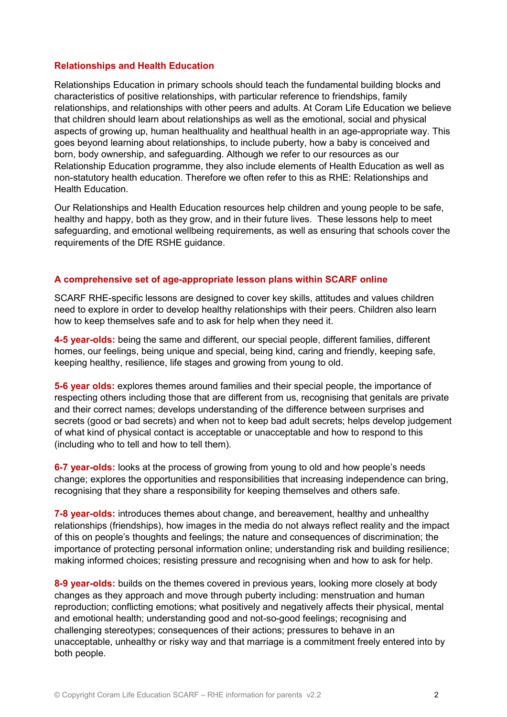## **Relationships and Health Education**

Relationships Education in primary schools should teach the fundamental building blocks and characteristics of positive relationships, with particular reference to friendships, family relationships, and relationships with other peers and adults. At Coram Life Education we believe that children should learn about relationships as well as the emotional, social and physical aspects of growing up, human healthuality and healthual health in an age-appropriate way. This goes beyond learning about relationships, to include puberty, how a baby is conceived and born, body ownership, and safeguarding. Although we refer to our resources as our Relationship Education programme, they also include elements of Health Education as well as non-statutory health education. Therefore we often refer to this as RHE: Relationships and Health Education.

Our Relationships and Health Education resources help children and young people to be safe, healthy and happy, both as they grow, and in their future lives. These lessons help to meet safeguarding, and emotional wellbeing requirements, as well as ensuring that schools cover the requirements of the DfE RSHE guidance.

## **A comprehensive set of age-appropriate lesson plans within SCARF online**

SCARF RHE-specific lessons are designed to cover key skills, attitudes and values children need to explore in order to develop healthy relationships with their peers. Children also learn how to keep themselves safe and to ask for help when they need it.

**4-5 year-olds:** being the same and different, our special people, different families, different homes, our feelings, being unique and special, being kind, caring and friendly, keeping safe, keeping healthy, resilience, life stages and growing from young to old.

**5-6 year olds:** explores themes around families and their special people, the importance of respecting others including those that are different from us, recognising that genitals are private and their correct names; develops understanding of the difference between surprises and secrets (good or bad secrets) and when not to keep bad adult secrets; helps develop judgement of what kind of physical contact is acceptable or unacceptable and how to respond to this (including who to tell and how to tell them).

**6-7 year-olds:** looks at the process of growing from young to old and how people's needs change; explores the opportunities and responsibilities that increasing independence can bring, recognising that they share a responsibility for keeping themselves and others safe.

**7-8 year-olds:** introduces themes about change, and bereavement, healthy and unhealthy relationships (friendships), how images in the media do not always reflect reality and the impact of this on people's thoughts and feelings; the nature and consequences of discrimination; the importance of protecting personal information online; understanding risk and building resilience; making informed choices; resisting pressure and recognising when and how to ask for help.

**8-9 year-olds:** builds on the themes covered in previous years, looking more closely at body changes as they approach and move through puberty including: menstruation and human reproduction; conflicting emotions; what positively and negatively affects their physical, mental and emotional health; understanding good and not-so-good feelings; recognising and challenging stereotypes; consequences of their actions; pressures to behave in an unacceptable, unhealthy or risky way and that marriage is a commitment freely entered into by both people.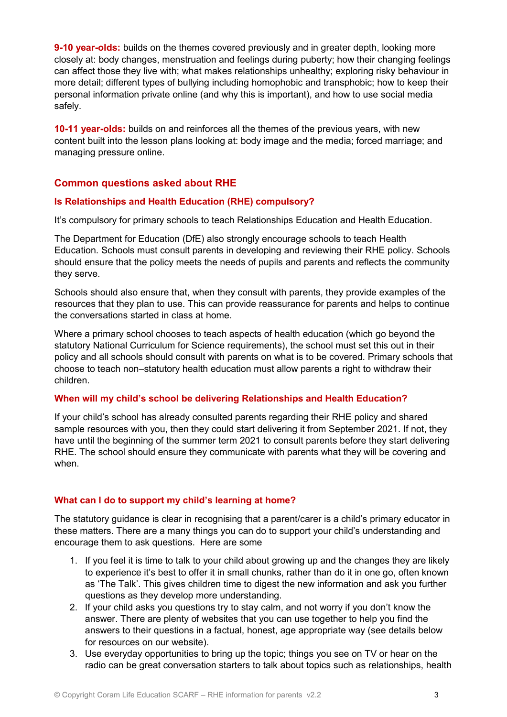**9-10 year-olds:** builds on the themes covered previously and in greater depth, looking more closely at: body changes, menstruation and feelings during puberty; how their changing feelings can affect those they live with; what makes relationships unhealthy; exploring risky behaviour in more detail; different types of bullying including homophobic and transphobic; how to keep their personal information private online (and why this is important), and how to use social media safely.

**10-11 year-olds:** builds on and reinforces all the themes of the previous years, with new content built into the lesson plans looking at: body image and the media; forced marriage; and managing pressure online.

# **Common questions asked about RHE**

## **Is Relationships and Health Education (RHE) compulsory?**

It's compulsory for primary schools to teach Relationships Education and Health Education.

The Department for Education (DfE) also strongly encourage schools to teach Health Education. Schools must consult parents in developing and reviewing their RHE policy. Schools should ensure that the policy meets the needs of pupils and parents and reflects the community they serve.

Schools should also ensure that, when they consult with parents, they provide examples of the resources that they plan to use. This can provide reassurance for parents and helps to continue the conversations started in class at home.

Where a primary school chooses to teach aspects of health education (which go beyond the statutory National Curriculum for Science requirements), the school must set this out in their policy and all schools should consult with parents on what is to be covered. Primary schools that choose to teach non–statutory health education must allow parents a right to withdraw their children.

## **When will my child's school be delivering Relationships and Health Education?**

If your child's school has already consulted parents regarding their RHE policy and shared sample resources with you, then they could start delivering it from September 2021. If not, they have until the beginning of the summer term 2021 to consult parents before they start delivering RHE. The school should ensure they communicate with parents what they will be covering and when.

# **What can I do to support my child's learning at home?**

The statutory guidance is clear in recognising that a parent/carer is a child's primary educator in these matters. There are a many things you can do to support your child's understanding and encourage them to ask questions. Here are some

- 1. If you feel it is time to talk to your child about growing up and the changes they are likely to experience it's best to offer it in small chunks, rather than do it in one go, often known as 'The Talk'. This gives children time to digest the new information and ask you further questions as they develop more understanding.
- 2. If your child asks you questions try to stay calm, and not worry if you don't know the answer. There are plenty of websites that you can use together to help you find the answers to their questions in a factual, honest, age appropriate way (see details below for resources on our website).
- 3. Use everyday opportunities to bring up the topic; things you see on TV or hear on the radio can be great conversation starters to talk about topics such as relationships, health